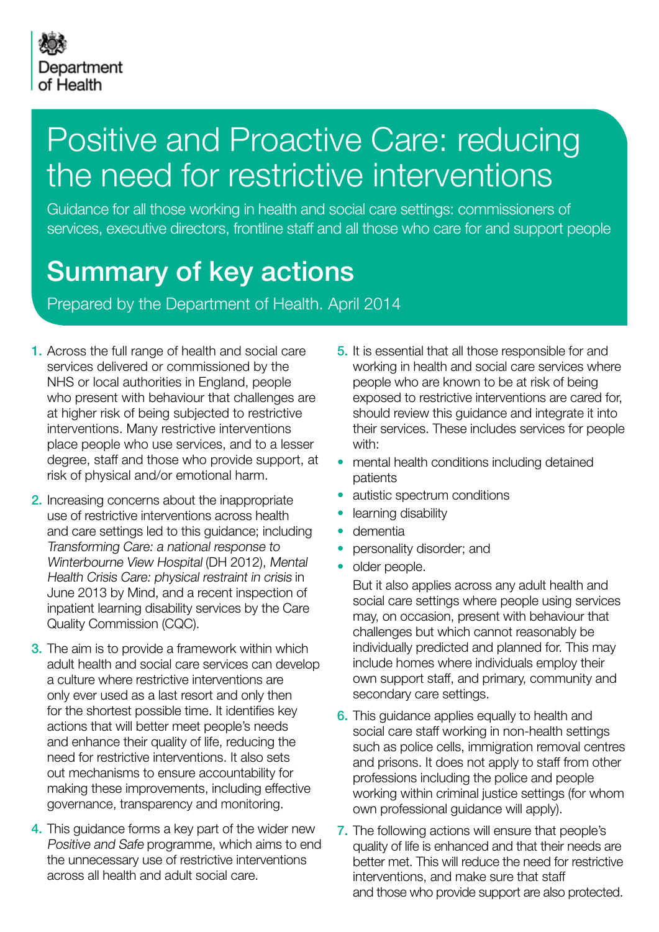

## Positive and Proactive Care: reducing the need for restrictive interventions

Guidance for all those working in health and social care settings: commissioners of services, executive directors, frontline staff and all those who care for and support people

### Summary of key actions

Prepared by the Department of Health. April 2014

- 1. Across the full range of health and social care services delivered or commissioned by the NHS or local authorities in England, people who present with behaviour that challenges are at higher risk of being subjected to restrictive interventions. Many restrictive interventions place people who use services, and to a lesser degree, staff and those who provide support, at risk of physical and/or emotional harm.
- 2. Increasing concerns about the inappropriate use of restrictive interventions across health and care settings led to this guidance; including Transforming Care: a national response to Winterbourne View Hospital (DH 2012), Mental Health Crisis Care: physical restraint in crisis in June 2013 by Mind, and a recent inspection of inpatient learning disability services by the Care Quality Commission (CQC).
- **3.** The aim is to provide a framework within which adult health and social care services can develop a culture where restrictive interventions are only ever used as a last resort and only then for the shortest possible time. It identifies key actions that will better meet people's needs and enhance their quality of life, reducing the need for restrictive interventions. It also sets out mechanisms to ensure accountability for making these improvements, including effective governance, transparency and monitoring.
- 4. This guidance forms a key part of the wider new Positive and Safe programme, which aims to end the unnecessary use of restrictive interventions across all health and adult social care.
- 5. It is essential that all those responsible for and working in health and social care services where people who are known to be at risk of being exposed to restrictive interventions are cared for, should review this guidance and integrate it into their services. These includes services for people with:
- mental health conditions including detained patients
- autistic spectrum conditions
- learning disability
- dementia
- personality disorder; and
- older people.

But it also applies across any adult health and social care settings where people using services may, on occasion, present with behaviour that challenges but which cannot reasonably be individually predicted and planned for. This may include homes where individuals employ their own support staff, and primary, community and secondary care settings.

- **6.** This guidance applies equally to health and social care staff working in non-health settings such as police cells, immigration removal centres and prisons. It does not apply to staff from other professions including the police and people working within criminal justice settings (for whom own professional guidance will apply).
- 7. The following actions will ensure that people's quality of life is enhanced and that their needs are better met. This will reduce the need for restrictive interventions, and make sure that staff and those who provide support are also protected.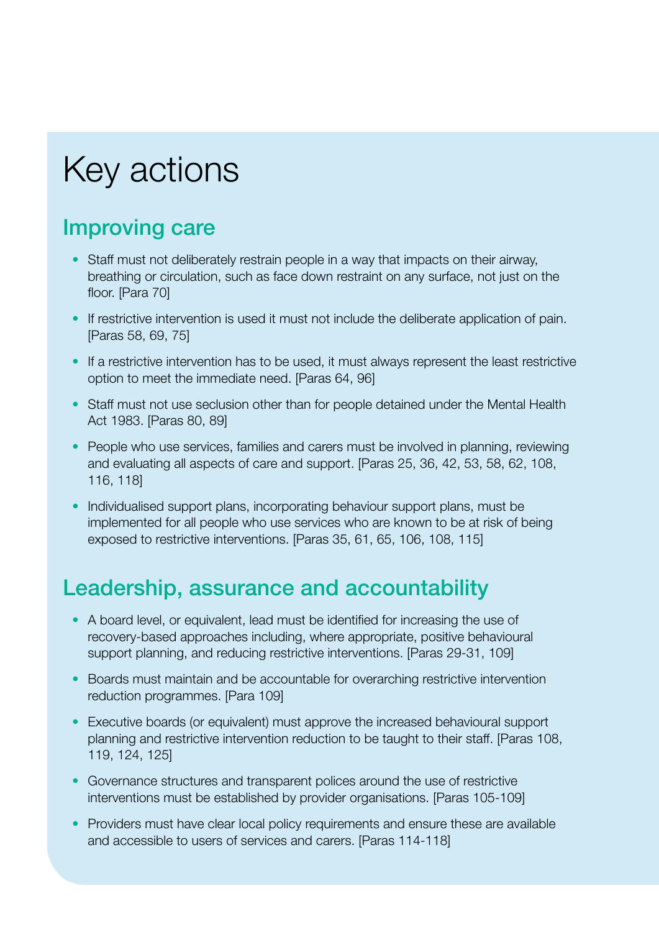# Key actions

#### Improving care

- Staff must not deliberately restrain people in a way that impacts on their airway, breathing or circulation, such as face down restraint on any surface, not just on the floor. [Para 70]
- If restrictive intervention is used it must not include the deliberate application of pain. [Paras 58, 69, 75]
- If a restrictive intervention has to be used, it must always represent the least restrictive option to meet the immediate need. [Paras 64, 96]
- Staff must not use seclusion other than for people detained under the Mental Health Act 1983. [Paras 80, 89]
- People who use services, families and carers must be involved in planning, reviewing and evaluating all aspects of care and support. [Paras 25, 36, 42, 53, 58, 62, 108, 116, 118]
- Individualised support plans, incorporating behaviour support plans, must be implemented for all people who use services who are known to be at risk of being exposed to restrictive interventions. [Paras 35, 61, 65, 106, 108, 115]

### Leadership, assurance and accountability

- A board level, or equivalent, lead must be identified for increasing the use of recovery-based approaches including, where appropriate, positive behavioural support planning, and reducing restrictive interventions. [Paras 29-31, 109]
- Boards must maintain and be accountable for overarching restrictive intervention reduction programmes. [Para 109]
- Executive boards (or equivalent) must approve the increased behavioural support planning and restrictive intervention reduction to be taught to their staff. [Paras 108, 119, 124, 125]
- Governance structures and transparent polices around the use of restrictive interventions must be established by provider organisations. [Paras 105-109]
- Providers must have clear local policy requirements and ensure these are available and accessible to users of services and carers. [Paras 114-118]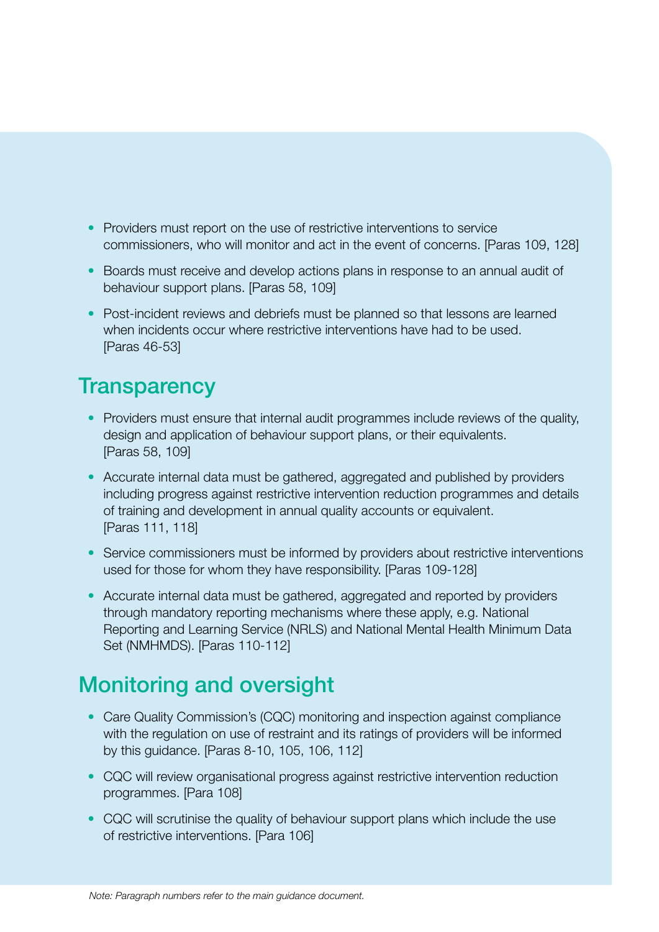- Providers must report on the use of restrictive interventions to service commissioners, who will monitor and act in the event of concerns. [Paras 109, 128]
- Boards must receive and develop actions plans in response to an annual audit of behaviour support plans. [Paras 58, 109]
- Post-incident reviews and debriefs must be planned so that lessons are learned when incidents occur where restrictive interventions have had to be used. [Paras 46-53]

#### **Transparency**

- Providers must ensure that internal audit programmes include reviews of the quality, design and application of behaviour support plans, or their equivalents. [Paras 58, 109]
- Accurate internal data must be gathered, aggregated and published by providers including progress against restrictive intervention reduction programmes and details of training and development in annual quality accounts or equivalent. [Paras 111, 118]
- Service commissioners must be informed by providers about restrictive interventions used for those for whom they have responsibility. [Paras 109-128]
- Accurate internal data must be gathered, aggregated and reported by providers through mandatory reporting mechanisms where these apply, e.g. National Reporting and Learning Service (NRLS) and National Mental Health Minimum Data Set (NMHMDS). [Paras 110-112]

### Monitoring and oversight

- Care Quality Commission's (CQC) monitoring and inspection against compliance with the regulation on use of restraint and its ratings of providers will be informed by this guidance. [Paras 8-10, 105, 106, 112]
- CQC will review organisational progress against restrictive intervention reduction programmes. [Para 108]
- CQC will scrutinise the quality of behaviour support plans which include the use of restrictive interventions. [Para 106]